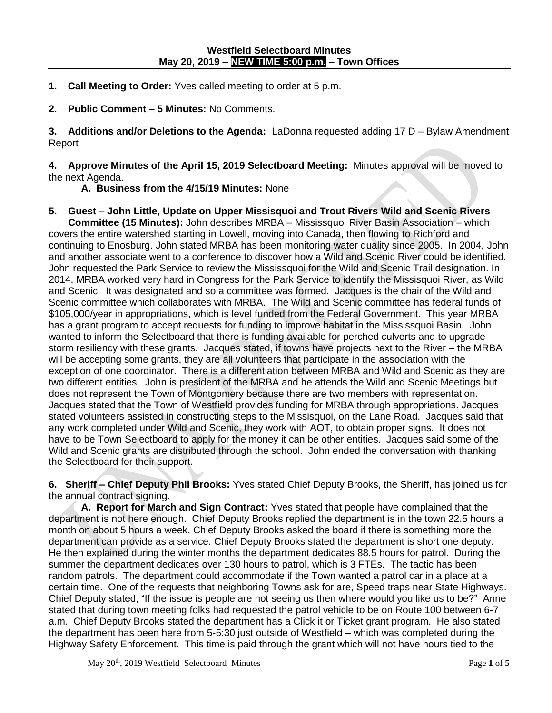- **1. Call Meeting to Order:** Yves called meeting to order at 5 p.m.
- **2. Public Comment – 5 Minutes:** No Comments.

**3. Additions and/or Deletions to the Agenda:** LaDonna requested adding 17 D – Bylaw Amendment Report

**4. Approve Minutes of the April 15, 2019 Selectboard Meeting:** Minutes approval will be moved to the next Agenda.

**A. Business from the 4/15/19 Minutes:** None

**5. Guest – John Little, Update on Upper Missisquoi and Trout Rivers Wild and Scenic Rivers Committee (15 Minutes):** John describes MRBA – Mississquoi River Basin Association – which covers the entire watershed starting in Lowell, moving into Canada, then flowing to Richford and continuing to Enosburg. John stated MRBA has been monitoring water quality since 2005. In 2004, John and another associate went to a conference to discover how a Wild and Scenic River could be identified. John requested the Park Service to review the Mississquoi for the Wild and Scenic Trail designation. In 2014, MRBA worked very hard in Congress for the Park Service to identify the Missisquoi River, as Wild and Scenic. It was designated and so a committee was formed. Jacques is the chair of the Wild and Scenic committee which collaborates with MRBA. The Wild and Scenic committee has federal funds of \$105,000/year in appropriations, which is level funded from the Federal Government. This year MRBA has a grant program to accept requests for funding to improve habitat in the Mississquoi Basin. John wanted to inform the Selectboard that there is funding available for perched culverts and to upgrade storm resiliency with these grants. Jacques stated, if towns have projects next to the River – the MRBA will be accepting some grants, they are all volunteers that participate in the association with the exception of one coordinator. There is a differentiation between MRBA and Wild and Scenic as they are two different entities. John is president of the MRBA and he attends the Wild and Scenic Meetings but does not represent the Town of Montgomery because there are two members with representation. Jacques stated that the Town of Westfield provides funding for MRBA through appropriations. Jacques stated volunteers assisted in constructing steps to the Missisquoi, on the Lane Road. Jacques said that any work completed under Wild and Scenic, they work with AOT, to obtain proper signs. It does not have to be Town Selectboard to apply for the money it can be other entities. Jacques said some of the Wild and Scenic grants are distributed through the school. John ended the conversation with thanking the Selectboard for their support.

**6. Sheriff – Chief Deputy Phil Brooks:** Yves stated Chief Deputy Brooks, the Sheriff, has joined us for the annual contract signing.

**A. Report for March and Sign Contract:** Yves stated that people have complained that the department is not here enough. Chief Deputy Brooks replied the department is in the town 22.5 hours a month on about 5 hours a week. Chief Deputy Brooks asked the board if there is something more the department can provide as a service. Chief Deputy Brooks stated the department is short one deputy. He then explained during the winter months the department dedicates 88.5 hours for patrol. During the summer the department dedicates over 130 hours to patrol, which is 3 FTEs. The tactic has been random patrols. The department could accommodate if the Town wanted a patrol car in a place at a certain time. One of the requests that neighboring Towns ask for are, Speed traps near State Highways. Chief Deputy stated, "If the issue is people are not seeing us then where would you like us to be?" Anne stated that during town meeting folks had requested the patrol vehicle to be on Route 100 between 6-7 a.m. Chief Deputy Brooks stated the department has a Click it or Ticket grant program. He also stated the department has been here from 5-5:30 just outside of Westfield – which was completed during the Highway Safety Enforcement. This time is paid through the grant which will not have hours tied to the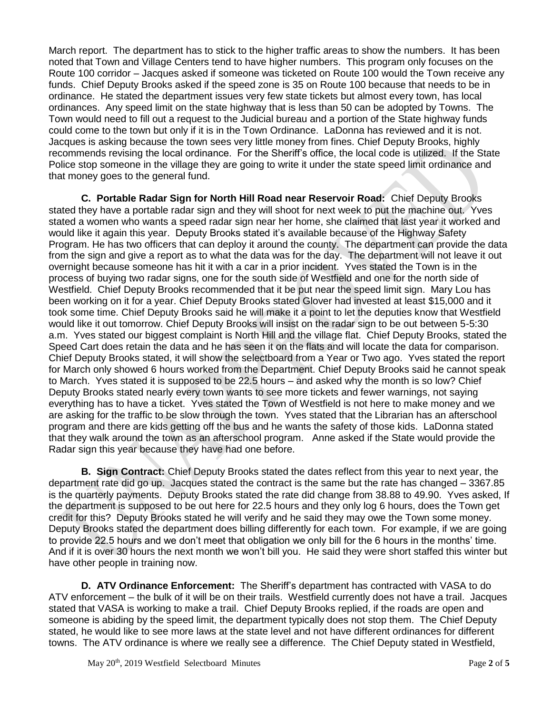March report. The department has to stick to the higher traffic areas to show the numbers. It has been noted that Town and Village Centers tend to have higher numbers. This program only focuses on the Route 100 corridor – Jacques asked if someone was ticketed on Route 100 would the Town receive any funds. Chief Deputy Brooks asked if the speed zone is 35 on Route 100 because that needs to be in ordinance. He stated the department issues very few state tickets but almost every town, has local ordinances. Any speed limit on the state highway that is less than 50 can be adopted by Towns. The Town would need to fill out a request to the Judicial bureau and a portion of the State highway funds could come to the town but only if it is in the Town Ordinance. LaDonna has reviewed and it is not. Jacques is asking because the town sees very little money from fines. Chief Deputy Brooks, highly recommends revising the local ordinance. For the Sheriff's office, the local code is utilized. If the State Police stop someone in the village they are going to write it under the state speed limit ordinance and that money goes to the general fund.

**C. Portable Radar Sign for North Hill Road near Reservoir Road:** Chief Deputy Brooks stated they have a portable radar sign and they will shoot for next week to put the machine out. Yves stated a women who wants a speed radar sign near her home, she claimed that last year it worked and would like it again this year. Deputy Brooks stated it's available because of the Highway Safety Program. He has two officers that can deploy it around the county. The department can provide the data from the sign and give a report as to what the data was for the day. The department will not leave it out overnight because someone has hit it with a car in a prior incident. Yves stated the Town is in the process of buying two radar signs, one for the south side of Westfield and one for the north side of Westfield. Chief Deputy Brooks recommended that it be put near the speed limit sign. Mary Lou has been working on it for a year. Chief Deputy Brooks stated Glover had invested at least \$15,000 and it took some time. Chief Deputy Brooks said he will make it a point to let the deputies know that Westfield would like it out tomorrow. Chief Deputy Brooks will insist on the radar sign to be out between 5-5:30 a.m. Yves stated our biggest complaint is North Hill and the village flat. Chief Deputy Brooks, stated the Speed Cart does retain the data and he has seen it on the flats and will locate the data for comparison. Chief Deputy Brooks stated, it will show the selectboard from a Year or Two ago. Yves stated the report for March only showed 6 hours worked from the Department. Chief Deputy Brooks said he cannot speak to March. Yves stated it is supposed to be 22.5 hours – and asked why the month is so low? Chief Deputy Brooks stated nearly every town wants to see more tickets and fewer warnings, not saying everything has to have a ticket. Yves stated the Town of Westfield is not here to make money and we are asking for the traffic to be slow through the town. Yves stated that the Librarian has an afterschool program and there are kids getting off the bus and he wants the safety of those kids. LaDonna stated that they walk around the town as an afterschool program. Anne asked if the State would provide the Radar sign this year because they have had one before.

**B. Sign Contract:** Chief Deputy Brooks stated the dates reflect from this year to next year, the department rate did go up. Jacques stated the contract is the same but the rate has changed – 3367.85 is the quarterly payments. Deputy Brooks stated the rate did change from 38.88 to 49.90. Yves asked, If the department is supposed to be out here for 22.5 hours and they only log 6 hours, does the Town get credit for this? Deputy Brooks stated he will verify and he said they may owe the Town some money. Deputy Brooks stated the department does billing differently for each town. For example, if we are going to provide 22.5 hours and we don't meet that obligation we only bill for the 6 hours in the months' time. And if it is over 30 hours the next month we won't bill you. He said they were short staffed this winter but have other people in training now.

**D. ATV Ordinance Enforcement:** The Sheriff's department has contracted with VASA to do ATV enforcement – the bulk of it will be on their trails. Westfield currently does not have a trail. Jacques stated that VASA is working to make a trail. Chief Deputy Brooks replied, if the roads are open and someone is abiding by the speed limit, the department typically does not stop them. The Chief Deputy stated, he would like to see more laws at the state level and not have different ordinances for different towns. The ATV ordinance is where we really see a difference. The Chief Deputy stated in Westfield,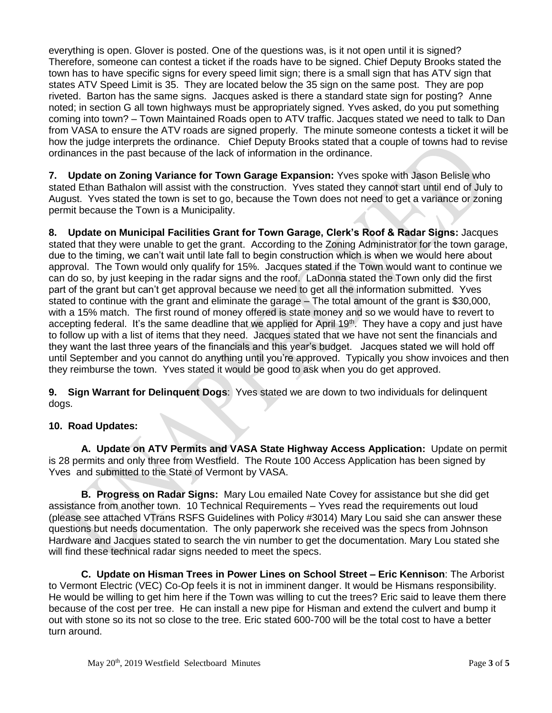everything is open. Glover is posted. One of the questions was, is it not open until it is signed? Therefore, someone can contest a ticket if the roads have to be signed. Chief Deputy Brooks stated the town has to have specific signs for every speed limit sign; there is a small sign that has ATV sign that states ATV Speed Limit is 35. They are located below the 35 sign on the same post. They are pop riveted. Barton has the same signs. Jacques asked is there a standard state sign for posting? Anne noted; in section G all town highways must be appropriately signed. Yves asked, do you put something coming into town? – Town Maintained Roads open to ATV traffic. Jacques stated we need to talk to Dan from VASA to ensure the ATV roads are signed properly. The minute someone contests a ticket it will be how the judge interprets the ordinance. Chief Deputy Brooks stated that a couple of towns had to revise ordinances in the past because of the lack of information in the ordinance.

**7. Update on Zoning Variance for Town Garage Expansion:** Yves spoke with Jason Belisle who stated Ethan Bathalon will assist with the construction. Yves stated they cannot start until end of July to August. Yves stated the town is set to go, because the Town does not need to get a variance or zoning permit because the Town is a Municipality.

**8. Update on Municipal Facilities Grant for Town Garage, Clerk's Roof & Radar Signs:** Jacques stated that they were unable to get the grant. According to the Zoning Administrator for the town garage, due to the timing, we can't wait until late fall to begin construction which is when we would here about approval. The Town would only qualify for 15%. Jacques stated if the Town would want to continue we can do so, by just keeping in the radar signs and the roof. LaDonna stated the Town only did the first part of the grant but can't get approval because we need to get all the information submitted. Yves stated to continue with the grant and eliminate the garage – The total amount of the grant is \$30,000, with a 15% match. The first round of money offered is state money and so we would have to revert to accepting federal. It's the same deadline that we applied for April 19th. They have a copy and just have to follow up with a list of items that they need. Jacques stated that we have not sent the financials and they want the last three years of the financials and this year's budget. Jacques stated we will hold off until September and you cannot do anything until you're approved. Typically you show invoices and then they reimburse the town. Yves stated it would be good to ask when you do get approved.

**9. Sign Warrant for Delinquent Dogs**: Yves stated we are down to two individuals for delinquent dogs.

## **10. Road Updates:**

**A. Update on ATV Permits and VASA State Highway Access Application:** Update on permit is 28 permits and only three from Westfield. The Route 100 Access Application has been signed by Yves and submitted to the State of Vermont by VASA.

**B. Progress on Radar Signs:** Mary Lou emailed Nate Covey for assistance but she did get assistance from another town. 10 Technical Requirements – Yves read the requirements out loud (please see attached VTrans RSFS Guidelines with Policy #3014) Mary Lou said she can answer these questions but needs documentation. The only paperwork she received was the specs from Johnson Hardware and Jacques stated to search the vin number to get the documentation. Mary Lou stated she will find these technical radar signs needed to meet the specs.

**C. Update on Hisman Trees in Power Lines on School Street – Eric Kennison**: The Arborist to Vermont Electric (VEC) Co-Op feels it is not in imminent danger. It would be Hismans responsibility. He would be willing to get him here if the Town was willing to cut the trees? Eric said to leave them there because of the cost per tree. He can install a new pipe for Hisman and extend the culvert and bump it out with stone so its not so close to the tree. Eric stated 600-700 will be the total cost to have a better turn around.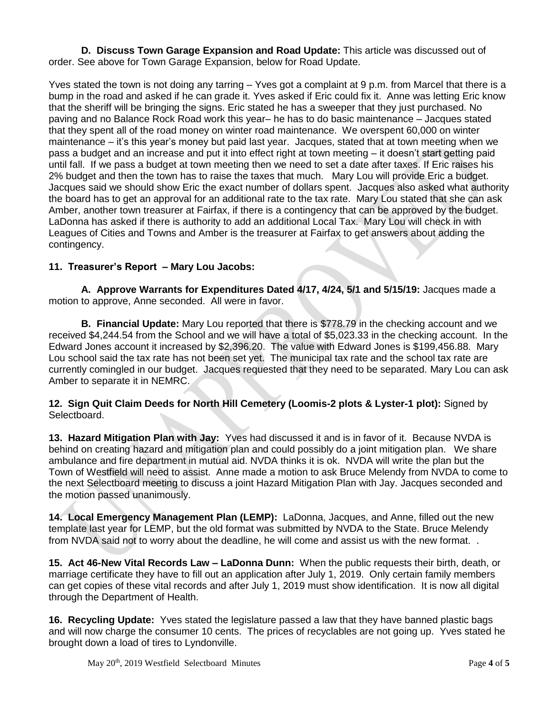**D. Discuss Town Garage Expansion and Road Update:** This article was discussed out of order. See above for Town Garage Expansion, below for Road Update.

Yves stated the town is not doing any tarring – Yves got a complaint at 9 p.m. from Marcel that there is a bump in the road and asked if he can grade it. Yves asked if Eric could fix it. Anne was letting Eric know that the sheriff will be bringing the signs. Eric stated he has a sweeper that they just purchased. No paving and no Balance Rock Road work this year– he has to do basic maintenance – Jacques stated that they spent all of the road money on winter road maintenance. We overspent 60,000 on winter maintenance – it's this year's money but paid last year. Jacques, stated that at town meeting when we pass a budget and an increase and put it into effect right at town meeting – it doesn't start getting paid until fall. If we pass a budget at town meeting then we need to set a date after taxes. If Eric raises his 2% budget and then the town has to raise the taxes that much. Mary Lou will provide Eric a budget. Jacques said we should show Eric the exact number of dollars spent. Jacques also asked what authority the board has to get an approval for an additional rate to the tax rate. Mary Lou stated that she can ask Amber, another town treasurer at Fairfax, if there is a contingency that can be approved by the budget. LaDonna has asked if there is authority to add an additional Local Tax. Mary Lou will check in with Leagues of Cities and Towns and Amber is the treasurer at Fairfax to get answers about adding the contingency.

## **11. Treasurer's Report – Mary Lou Jacobs:**

**A. Approve Warrants for Expenditures Dated 4/17, 4/24, 5/1 and 5/15/19:** Jacques made a motion to approve, Anne seconded. All were in favor.

**B. Financial Update:** Mary Lou reported that there is \$778.79 in the checking account and we received \$4,244.54 from the School and we will have a total of \$5,023.33 in the checking account.In the Edward Jones account it increased by \$2,396.20. The value with Edward Jones is \$199,456.88. Mary Lou school said the tax rate has not been set yet. The municipal tax rate and the school tax rate are currently comingled in our budget. Jacques requested that they need to be separated. Mary Lou can ask Amber to separate it in NEMRC.

**12. Sign Quit Claim Deeds for North Hill Cemetery (Loomis-2 plots & Lyster-1 plot):** Signed by Selectboard.

**13. Hazard Mitigation Plan with Jay:** Yves had discussed it and is in favor of it. Because NVDA is behind on creating hazard and mitigation plan and could possibly do a joint mitigation plan. We share ambulance and fire department in mutual aid. NVDA thinks it is ok. NVDA will write the plan but the Town of Westfield will need to assist. Anne made a motion to ask Bruce Melendy from NVDA to come to the next Selectboard meeting to discuss a joint Hazard Mitigation Plan with Jay. Jacques seconded and the motion passed unanimously.

**14. Local Emergency Management Plan (LEMP):** LaDonna, Jacques, and Anne, filled out the new template last year for LEMP, but the old format was submitted by NVDA to the State. Bruce Melendy from NVDA said not to worry about the deadline, he will come and assist us with the new format...

**15. Act 46-New Vital Records Law – LaDonna Dunn:** When the public requests their birth, death, or marriage certificate they have to fill out an application after July 1, 2019. Only certain family members can get copies of these vital records and after July 1, 2019 must show identification. It is now all digital through the Department of Health.

**16. Recycling Update:** Yves stated the legislature passed a law that they have banned plastic bags and will now charge the consumer 10 cents. The prices of recyclables are not going up. Yves stated he brought down a load of tires to Lyndonville.